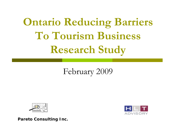# **Ontario Reducing Barriers To Tourism Business Research Study**

## February 2009



**Pareto Consulting Inc.**

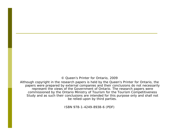© Queen's Printer for Ontario, 2009

Although copyright in the research papers is held by the Queen's Printer for Ontario, the papers were prepared by external companies and their conclusions do not necessarily represent the views of the Government of Ontario. The research papers were commissioned by the Ontario Ministry of Tourism for the Tourism Competitiveness Study and as such their conclusions are intended for this purpose only and shall not be relied-upon by third parties.

ISBN 978-1-4249-8938-6 (PDF)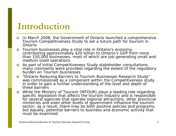## **Introduction**

- П In March 2008, the Government of Ontario launched a comprehensive Tourism Competitiveness Study to set a future path for tourism in Ontario
- $\Box$  Tourism businesses play a vital role in Ontario's economy, contributing approximately \$20 billion to Ontario's GDP from more than 150,000 businesses, most of which are job-generating small and medium sized operations
- $\Box$  As part of initial Competitiveness Study stakeholder consultations, many comments were provided regarding the extent of the regulatory burden on Tourism businesses
- $\Box$  "Ontario Reducing Barriers to Tourism Businesses Research Study" was commissioned as a component within the Competitiveness study in order to gain a further understanding of the level and depth of these barriers
- $\Box$  While the Ministry of Tourism (MTOUR) plays a leading role regarding specific legislation that affects the tourism industry and is responsible for several agencies that operate regional attractions, other provincial ministries and even other levels of government influence the tourism sector; as a result, there may be both positive policies and programs, but equally, potential barriers to business and economic activity that must be examined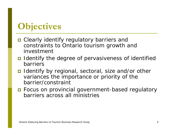# **Objectives**

- Clearly identify regulatory barriers and constraints to Ontario tourism growth and investment
- **I** Identify the degree of pervasiveness of identified barriers
- I Identify by regional, sectoral, size and/or other variances the importance or priority of the barrier/constraint
- Focus on provincial government-based regulatory barriers across all ministries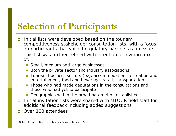# **Selection of Participants**

- $\Box$  Initial lists were developed based on the tourism competitiveness stakeholder consultation lists, with a focus on participants that voiced regulatory barriers as an issue
- This list was further refined with intention of inviting mix of:
	- **Small, medium and large businesses**
	- $\overline{\phantom{a}}$ Both the private sector and industry associations
	- П Tourism business sectors (e.g. accommodation, recreation and entertainment, food and beverage, retail, transportation)
	- **Those who had made deputations in the consultations and** those who had yet to participate
	- F Geographies within the broad parameters established
- Initial invitation lists were shared with MTOUR field staff for additional feedback including added suggestions
- $\Box$ Over 100 attendees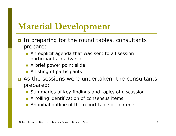# **Material Development**

- $\Box$  In preparing for the round tables, consultants prepared:
	- An explicit agenda that was sent to all session participants in advance
	- **A** brief power point slide
	- **A** listing of participants
- **n** As the sessions were undertaken, the consultants prepared:
	- $\left\vert \cdot \right\vert$ Summaries of key findings and topics of discussion
	- π A rolling identification of consensus items
	- **An initial outline of the report table of contents**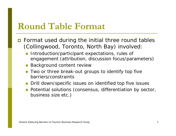## **Round Table Format**

- **n** Format used during the initial three round tables (Collingwood, Toronto, North Bay) involved:
	- **Introduction/participant expectations, rules of** engagement (attribution, discussion focus/parameters)
	- **Background content review**
	- **T** Two or three break-out groups to identify top five barriers/constraints
	- **Drill down/specific issues on identified top five issues**
	- **Potential solutions (consensus, differentiation by sector,** business size etc.)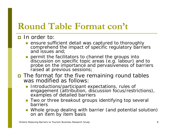# **Round Table Format con't**

### **D** In order to:

- **E** ensure sufficient detail was captured to thoroughly comprehend the impact of specific regulatory barriers and issues and;
- permit the facilitators to channel the groups into discussion on specific topic areas (e.g. labour) and to probe on the importance and pervasiveness of barriers raised at previous sessions;
- The format for the five remaining round tables was modified as follows:
	- Introductions/participant expectations, rules of engagement (attribution, discussion focus/restrictions), examples of detailed barriers
	- **Two or three breakout groups identifying top several** barriers
	- Whole group dealing with barrier (and potential solution) on an item by item basis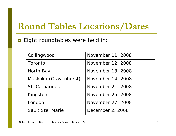# **Round Tables Locations/Dates**

### $\blacksquare$  Eight roundtables were held in:

| Collingwood           | November 11, 2008 |
|-----------------------|-------------------|
| Toronto               | November 12, 2008 |
| North Bay             | November 13, 2008 |
| Muskoka (Gravenhurst) | November 14, 2008 |
| St. Catharines        | November 21, 2008 |
| Kingston              | November 25, 2008 |
| London                | November 27, 2008 |
| Sault Ste. Marie      | December 2, 2008  |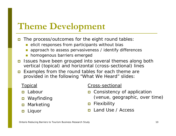# **Theme Development**

- $\Box$  The process/outcomes for the eight round tables:
	- F elicit responses from participants without bias
	- П approach to assess pervasiveness / identify differences
	- П homogenous barriers emerged
- Issues have been grouped into several themes along both vertical (topical) and horizontal (cross-sectional) lines
- $\Box$  Examples from the round tables for each theme are provided in the following "What We Heard" slides:

### Topical

- **□** Labour
- П Wayfinding
- $\Box$ Marketing
- $\Box$ Liquor

### Cross-sectional

- **n** Consistency of application (venue, geographic, over time)
- $\Box$  Flexibility
- m. Land Use / Access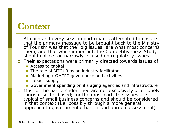## **Context**

- **n** At each and every session participants attempted to ensure that the primary message to be brought back to the Ministry of Tourism was that the "big issues" are what most concerns them, and that while important, the Competitiveness Study should not be too narrowly focused on regulatory issues
- Their expectations were primarily directed towards issues of:
	- **Access to capital**
	- **The role of MTOUR as an industry facilitator**
	- П Marketing / OMTPC governance and activities
	- П Labour supply
	- **Government spending on it's aging agencies and infrastructure**
- Most of the barriers identified are not exclusively or uniquely tourism-sector based; for the most part, the issues are interprised typical of small business concerns and should be considered in that context (i.e. possibly through a more general<br>approach to governmental barrier and burden assessment)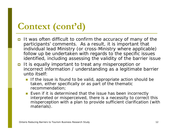# **Context (cont'd)**

- It was often difficult to confirm the accuracy of many of the participants' comments. As a result, it is important that individual lead Ministry (or cross-Ministry where applicable) follow up be undertaken with regards to the specific issues identified, including assessing the validity of the barrier issue
- It is equally important to treat any misperception or incorrect information / understanding as a legitimate barrier unto itself:
	- If the issue is found to be valid, appropriate action should be taken, either specifically or as part of the thematic recommendation;
	- **Exen if it is determined that the issue has been incorrectly** interpreted or misperceived, there is a necessity to correct this misperception with a plan to provide sufficient clarification (with materials).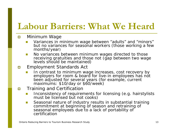# **Labour Barriers: What We Heard**

#### $\Box$ Minimum Wage

- П Variances in minimum wage between "adults" and "minors" but no variances for seasonal workers (those working a few months/year)
- $\mathcal{C}^{\mathcal{A}}$  No variances between minimum wages directed to those receiving gratuities and those not (gap between two wage levels should be maintained)

#### $\blacksquare$ Employment Standards Act

In contrast to minimum wage increases, cost recovery by employers for room & board for live-in employees has not been adjusted for several years (for example, current maximums: \$10/day or \$60/week)

#### $\Box$ Training and Certification

- П Inconsistency of requirements for licensing (e.g. hairstylists must be licensed but not cooks)
- $\mathcal{L}_{\mathcal{A}}$  Seasonal nature of industry results in substantial training commitment at beginning of season and retraining of seasonal employees due to a lack of portability of certification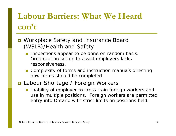# **Labour Barriers: What We Heard con't**

### ■ Workplace Safety and Insurance Board (WSIB)/Health and Safety

- **Inspections appear to be done on random basis.** Organization set up to assist employers lacks responsiveness.
- **Complexity of forms and instruction manuals directing** how forms should be completed
- Labour Shortage / Foreign Workers
	- **Inability of employer to cross train foreign workers and** use in multiple positions. Foreign workers are permitted entry into Ontario with strict limits on positions held.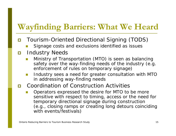## **Wayfinding Barriers: What We Heard**

- $\Box$  Tourism-Oriented Directional Signing (TODS)
	- T Signage costs and exclusions identified as issues
- $\Box$  Industry Needs
	- Ministry of Transportation (MTO) is seen as balancing safety over the way-finding needs of the industry (e.g. enforcement of rules on temporary signage)
	- $\mathcal{O}(\mathcal{C})$  Industry sees a need for greater consultation with MTO in addressing way-finding needs
- $\overline{\blacksquare}$  Coordination of Construction Activities
	- Operators expressed the desire for MTO to be more sensitive with respect to timing, access or the need for temporary directional signage during construction (e.g., closing ramps or creating long detours coinciding with events/festivals)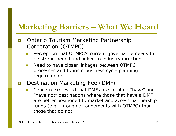## **Marketing Barriers – What We Heard**

- n Ontario Tourism Marketing Partnership Corporation (OTMPC)
	- T Perception that OTMPC's current governance needs to be strengthened and linked to industry direction
	- $\mathcal{L}_{\mathcal{A}}$  Need to have closer linkages between OTMPC processes and tourism business cycle planning requirements
- $\Box$  Destination Marketing Fee (DMF)
	- L. Concern expressed that DMFs are creating "have" and "have not" destinations where those that have a DMF are better positioned to market and access partnership funds (e.g. through arrangements with OTMPC) than those that do not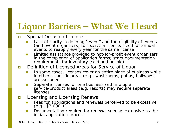# **Liquor Barriers – What We Heard**

#### $\Box$ Special Occasion Licenses

- П Lack of clarity in defining "event" and the eligibility of events (and event organizers) to receive a license; need for annual events to reapply every year for the same license
- П Limited assistance provided to not-for-profit event organizers in the completion of application forms; strict documentation requirements for inventory (sold and unsold)

#### П Definition of Licensed Areas for Service of Liquor

- In some cases, licenses cover an entire place of business while in others, specific areas (e.g., washrooms, patios, hallways) are excluded
- П Separate licenses for one business with multiple<br>service/product areas (e.g. resorts) may require separate licenses
- ГT. Licensing and Licensing Renewal
	- П Fees for applications and renewals perceived to be excessive (e.g.,  $$2,000 +$ )
	- П Documentation required for renewal seen as extensive as the initial application process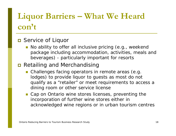# **Liquor Barriers – What We Heard con't**

### **O** Service of Liquor

**No ability to offer all inclusive pricing (e.g., weekend** package including accommodation, activities, meals and beverages) - particularly important for resorts

### **Retailing and Merchandising**

- **Challenges facing operators in remote areas (e.g.** lodges) to provide liquor to guests as most do not qualify as a "retailer" or meet requirements to access a dining room or other service license
- **Cap on Ontario wine stores licenses, preventing the** incorporation of further wine stores either in acknowledged wine regions or in urban tourism centres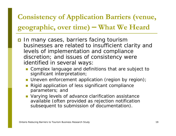### **Consistency of Application Barriers (venue, geographic, over time) What We Heard**

- $\overline{\blacksquare}$  In many cases, barriers facing tourism businesses are related to insufficient clarity and levels of implementation and compliance discretion; and issues of consistency were identified in several ways:
	- Complex language and definitions that are subject to significant interpretation;
	- **Uneven enforcement application (region by region)**;
	- Rigid application of less significant compliance parameters; and
	- **Narying levels of advance clarification assistance** available (often provided as rejection notification subsequent to submission of documentation).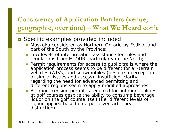### **Consistency of Application Barriers (venue, geographic, over time) – What We Heard con't**

### Specific examples provided included:

- Muskoka considered as Northern Ontario by FedNor and part of the South by the Province;
- **Low levels of interpretation assistance for rules and** regulations from MTOUR, particularly in the North;
- **Permit requirements for access to public trails where the** application process seems to be different for all-terrain vehicles (ATVs) and snowmobiles (despite a perception of similar issues and access); insufficient clarity regarding the need for advanced permitting and different regions seem to apply modified approaches;
- **A** liquor licensing permit is required for outdoor facilities at golf courses despite the ability to consume beverage liquor on the golf course itself (i.e. different levels of rigour applied based on a perceived arbitrary distinction).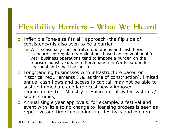### **Flexibility Barriers – What We Heard**

- $\Box$  Inflexible "one-size fits all" approach (the flip side of consistency) is also seen to be a barrier
	- **Nith seasonally concentrated operations and cash flows,** standardized regulatory obligations based on conventional full year business operations tend to impose a burden on the tourism industry (i.e. no differentiation in WSIB burden for seasonal and small business)
- Longstanding businesses with infrastructure based on historical requirements (i.e. at time of construction), limited annual cash flows and access to capital, may not be able to sustain immediate and large cost newly imposed requirements (i.e. Ministry of Environment water systems / septic studies)
- Annual single year approvals, for example, a festival and event with little to no change to licensing process is seen as repetitive and time consuming (i.e. festivals and events)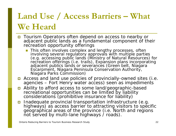# **Land Use / Access Barriers – What We Heard**

- Tourism Operators often depend on access to nearby or adjacent public lands as a fundamental component of their recreation opportunity offerings
	- **This often involves complex and lengthy processes, often** involving several regulatory approvals with multiple parties<br>(e.g. accessing public lands (Ministry of Natural Resources) for<br>recreation offerings (i.e. trails), Expansion plans incorporating<br>adjacent publics lands or seve Escarpment, Niagara Peninsula Conservation Authority, Niagara Parks Commission)
- Access and land use policies of provincially-owned sites (i.e. agencies Fort Henry water access) seen as impediments
- Ability to afford access to some land/geographic-based recreational opportunities can be limited by liability considerations (prohibitive insurance for liability)
- **n** Inadequate provincial transportation infrastructure (e.g. highways) as access barrier to attracting visitors to specific<br>geographical areas of the province (i.e. North and regions<br>not served by multi-lane highways / roads).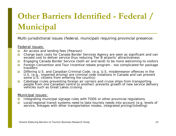# **Other Barriers Identified - Federal / Municipal**

Multi-jurisdictional issues (federal, municipal) requiring provincial presence:

#### Federal issues:

- $\Box$ Air access and landing fees (Pearson)
- $\Box$  Charge back costs for Canada Border Services Agency are seen as significant and can exceed cost to deliver service thus reducing Tier B airports' attractiveness
- $\Box$ Engaging Canada Border Service (both air and land) to be more welcoming to visitors
- $\Box$  Foreign Convention and Tour Incentive rebate program - too complicated for package travelers
- $\Box$  Differing U.S. and Canadian Criminal Code. (e.g. U.S. misdemeanor offences in the U.S. (e.g., impaired driving) are criminal code violations in Canada and can prevent some U.S. citizens from entering the country)
- $\blacksquare$  Cabotage (rules preventing foreign air carriers and cruise ships from transporting people from one Canadian centre to another) prevents growth of new service delivery vehicles such as Great Lakes cruising

#### Municipal issues:

- П Integrating municipal signage rules with TODS or other provincial regulations
- $\Box$  Local/regional transit systems need to take tourists needs into account (e.g. levels of service, linkages with other transportation modes, integrated pricing/ticketing)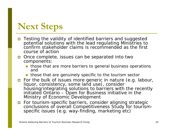# **Next Steps**

- Testing the validity of identified barriers and suggested potential solutions with the lead regulating Ministries to confirm stakeholder claims is recommended as the first course of action
- Once complete, issues can be separated into two components:
	- **those that are more barriers to general business operations** and
	- **those that are genuinely specific to the tourism sector**
- **p** For the bulk of issues more generic in nature (e.g. labour, Iiquor, consistency, some land use), consider in example industry diagrams.<br>Indusing/integrating solutions to barriers with the recently initiated Ontario – Open for Business initiative in the Ministry of Economic Development
- For tourism-specific barriers, consider aligning strategic conclusions of overall Competitiveness Study for tourism- specific issues (e.g. way-finding, marketing etc)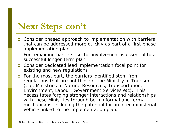# **Next Steps con't**

- **n** Consider phased approach to implementation with barriers that can be addressed more quickly as part of a first phase implementation plan
- **n** For remaining barriers, sector involvement is essential to a successful longer-term plan
- Consider dedicated lead implementation focal point for existing and new regulations
- **n** For the most part, the barriers identified stem from regulations that are not those of the Ministry of Tourism (e.g. Ministries of Natural Resources, Transportation, Environment, Labour, Government Services etc). This necessitates forging stronger interactions and relationships with these Ministries through both informal and formal mechanisms, including the potential for an inter-ministerial vehicle linked to the implementation plan.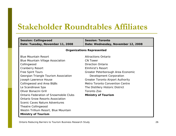| <b>Session: Collingwood</b>                   | <b>Session: Toronto</b>                  |  |
|-----------------------------------------------|------------------------------------------|--|
| Date: Tuesday, November 11, 2008              | Date: Wednesday, November 12, 2008       |  |
| <b>Organizations Represented</b>              |                                          |  |
| <b>Blue Mountain Resort</b>                   | <b>Attractions Ontario</b>               |  |
| <b>Blue Mountain Village Association</b>      | <b>CN Tower</b>                          |  |
| Collingwood                                   | <b>Direction Ontario</b>                 |  |
| <b>Cranberry Resort</b>                       | <b>Elmhirst's Resort</b>                 |  |
| <b>Free Spirit Tours</b>                      | Greater Peterborough Area Economic       |  |
| Georgian Triangle Tourism Association         | Development Corporation                  |  |
| Joseph Lawrence House                         | <b>Greater Toronto Airport Authority</b> |  |
| Collingwood and Area B&Bs                     | Metro Toronto Convention Centre          |  |
| Le Scandinave Spa                             | The Distillery Historic District         |  |
| Oliver Bonacini Grill                         | Toronto Zoo                              |  |
| <b>Ontario Federation of Snowmobile Clubs</b> | <b>Ministry of Tourism</b>               |  |
| <b>Ontario Snow Resorts Association</b>       |                                          |  |
| Scenic Caves Nature Adventures                |                                          |  |
| <b>Theatre Collingwood</b>                    |                                          |  |
| Westin Trillium Resort, Blue Mountain         |                                          |  |
| <b>Ministry of Tourism</b>                    |                                          |  |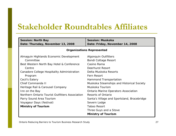| <b>Session: North Bay</b>                       | <b>Session: Muskoka</b>                     |  |
|-------------------------------------------------|---------------------------------------------|--|
| Date: Thursday, November 13, 2008               | Date: Friday, November 14, 2008             |  |
| <b>Organizations Represented</b>                |                                             |  |
| Almaguin Highlands Economic Development         | <b>Algonquin Outfitters</b>                 |  |
| Committee                                       | Bondi Cottage Resort                        |  |
| Best Western North Bay Hotel & Conference       | Casino Rama                                 |  |
| Centre                                          | Deerhurst Resort                            |  |
| Canadore College Hospitality Administration     | Delta Muskoka Resorts                       |  |
| Program                                         | <b>Fern Resort</b>                          |  |
| Cecil's Eatery                                  | Hammond Transportation                      |  |
| Chief Commanda II                               | Muskoka Steamships and Historical Society   |  |
| Heritage Rail & Carousel Company                | Muskoka Tourism                             |  |
| Inn on the Bay                                  | <b>Ontario Marine Operators Association</b> |  |
| Northern Ontario Tourist Outfitters Association | <b>Resorts of Ontario</b>                   |  |
| Parry Sound Area Tourism                        | Santa's Village and Sportsland, Bracebridge |  |
| Voyageur Days (festival)                        | Severn Lodge                                |  |
| <b>Ministry of Tourism</b>                      | <b>Taboo Resort</b>                         |  |
|                                                 | Three Guys and a Stove                      |  |
|                                                 | <b>Ministry of Tourism</b>                  |  |

Ontario Reducing Barriers to Tourism Business Research Study 27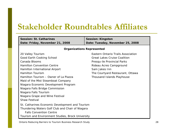| <b>Session: St. Catharines</b>  |
|---------------------------------|
| Date: Friday, November 21, 2008 |

**Session: Kingston Date: Tuesday, November 25, 2008**

#### *Organizations Represented*

20 Valley Tourism Good Earth Cooking School Canada BloomsHamilton Convention CentreHamilton International Airport Hamilton TourismHamilton Tourism – Owner of La PiazzaMaid of the Mist Steamboat Company Niagara Economic Development Program Niagara Falls Bridge Commission Niagara Falls Tourism Niagara Grape and Wine Festival Shaw FestivalSt. Catharines Economic Development and Tourism Thundering Waters Golf Club and Chair of Niagara Falls Convention CentreTourism and Environment Studies, Brock University

Eastern Ontario Trails AssociationGreat Lakes Cruise CoalitionPresqu-ile Provincial Parks Rideau Acres Campground Sam Jakes InnThe Courtyard Restaurant, Ottawa Thousand Islands Playhouse